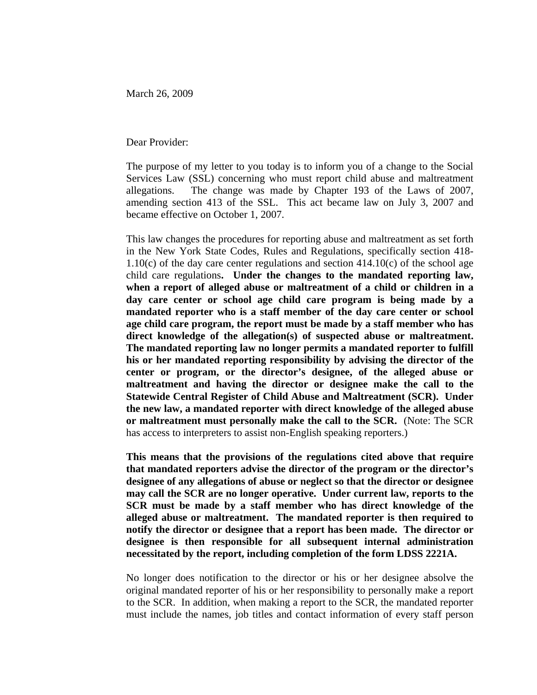March 26, 2009

Dear Provider:

The purpose of my letter to you today is to inform you of a change to the Social Services Law (SSL) concerning who must report child abuse and maltreatment allegations. The change was made by Chapter 193 of the Laws of 2007, amending section 413 of the SSL. This act became law on July 3, 2007 and became effective on October 1, 2007.

This law changes the procedures for reporting abuse and maltreatment as set forth in the New York State Codes, Rules and Regulations, specifically section 418-  $1.10(c)$  of the day care center regulations and section  $414.10(c)$  of the school age child care regulations**. Under the changes to the mandated reporting law, when a report of alleged abuse or maltreatment of a child or children in a day care center or school age child care program is being made by a mandated reporter who is a staff member of the day care center or school age child care program, the report must be made by a staff member who has direct knowledge of the allegation(s) of suspected abuse or maltreatment. The mandated reporting law no longer permits a mandated reporter to fulfill his or her mandated reporting responsibility by advising the director of the center or program, or the director's designee, of the alleged abuse or maltreatment and having the director or designee make the call to the Statewide Central Register of Child Abuse and Maltreatment (SCR). Under the new law, a mandated reporter with direct knowledge of the alleged abuse or maltreatment must personally make the call to the SCR.** (Note: The SCR has access to interpreters to assist non-English speaking reporters.)

**This means that the provisions of the regulations cited above that require that mandated reporters advise the director of the program or the director's designee of any allegations of abuse or neglect so that the director or designee may call the SCR are no longer operative. Under current law, reports to the SCR must be made by a staff member who has direct knowledge of the alleged abuse or maltreatment. The mandated reporter is then required to notify the director or designee that a report has been made. The director or designee is then responsible for all subsequent internal administration necessitated by the report, including completion of the form LDSS 2221A.** 

No longer does notification to the director or his or her designee absolve the original mandated reporter of his or her responsibility to personally make a report to the SCR. In addition, when making a report to the SCR, the mandated reporter must include the names, job titles and contact information of every staff person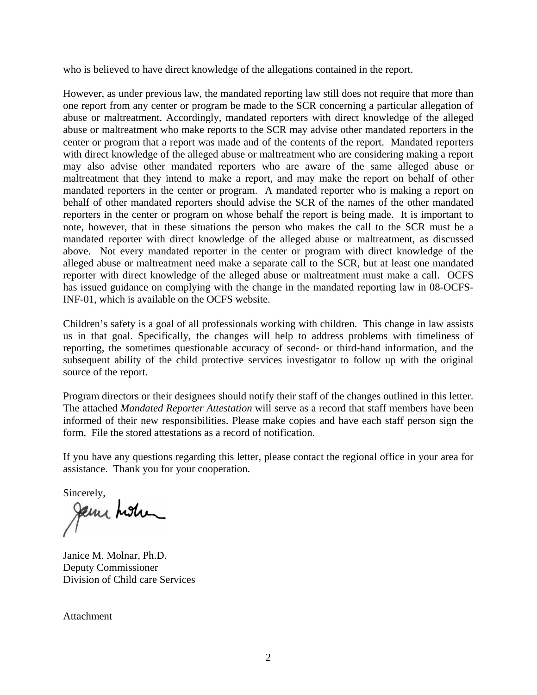who is believed to have direct knowledge of the allegations contained in the report.

However, as under previous law, the mandated reporting law still does not require that more than one report from any center or program be made to the SCR concerning a particular allegation of abuse or maltreatment. Accordingly, mandated reporters with direct knowledge of the alleged abuse or maltreatment who make reports to the SCR may advise other mandated reporters in the center or program that a report was made and of the contents of the report. Mandated reporters with direct knowledge of the alleged abuse or maltreatment who are considering making a report may also advise other mandated reporters who are aware of the same alleged abuse or maltreatment that they intend to make a report, and may make the report on behalf of other mandated reporters in the center or program. A mandated reporter who is making a report on behalf of other mandated reporters should advise the SCR of the names of the other mandated reporters in the center or program on whose behalf the report is being made. It is important to note, however, that in these situations the person who makes the call to the SCR must be a mandated reporter with direct knowledge of the alleged abuse or maltreatment, as discussed above. Not every mandated reporter in the center or program with direct knowledge of the alleged abuse or maltreatment need make a separate call to the SCR, but at least one mandated reporter with direct knowledge of the alleged abuse or maltreatment must make a call. OCFS has issued guidance on complying with the change in the mandated reporting law in 08-OCFS-INF-01, which is available on the OCFS website.

Children's safety is a goal of all professionals working with children. This change in law assists us in that goal. Specifically, the changes will help to address problems with timeliness of reporting, the sometimes questionable accuracy of second- or third-hand information, and the subsequent ability of the child protective services investigator to follow up with the original source of the report.

Program directors or their designees should notify their staff of the changes outlined in this letter. The attached *Mandated Reporter Attestation* will serve as a record that staff members have been informed of their new responsibilities. Please make copies and have each staff person sign the form. File the stored attestations as a record of notification.

If you have any questions regarding this letter, please contact the regional office in your area for assistance. Thank you for your cooperation.

Sincerely,<br>Jem hoh

Janice M. Molnar, Ph.D. Deputy Commissioner Division of Child care Services

Attachment